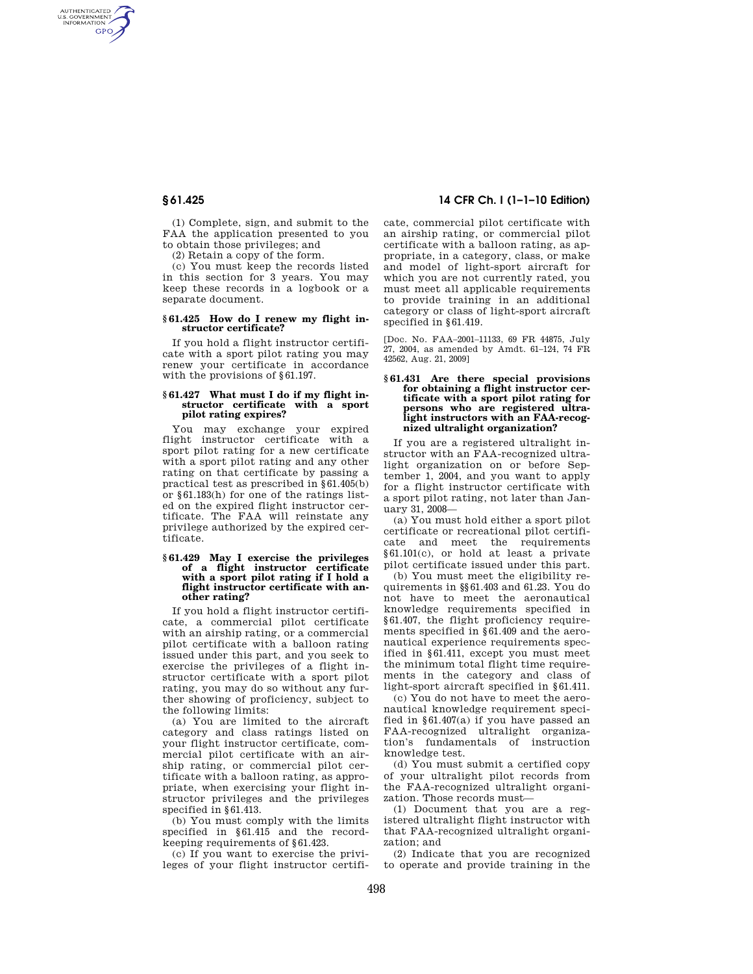AUTHENTICATED<br>U.S. GOVERNMENT<br>INFORMATION **GPO** 

> (1) Complete, sign, and submit to the FAA the application presented to you to obtain those privileges; and

(2) Retain a copy of the form.

(c) You must keep the records listed in this section for 3 years. You may keep these records in a logbook or a separate document.

#### **§ 61.425 How do I renew my flight instructor certificate?**

If you hold a flight instructor certificate with a sport pilot rating you may renew your certificate in accordance with the provisions of §61.197.

#### **§ 61.427 What must I do if my flight instructor certificate with a sport pilot rating expires?**

You may exchange your expired flight instructor certificate with a sport pilot rating for a new certificate with a sport pilot rating and any other rating on that certificate by passing a practical test as prescribed in §61.405(b) or §61.183(h) for one of the ratings listed on the expired flight instructor certificate. The FAA will reinstate any privilege authorized by the expired certificate.

#### **§ 61.429 May I exercise the privileges of a flight instructor certificate with a sport pilot rating if I hold a flight instructor certificate with another rating?**

If you hold a flight instructor certificate, a commercial pilot certificate with an airship rating, or a commercial pilot certificate with a balloon rating issued under this part, and you seek to exercise the privileges of a flight instructor certificate with a sport pilot rating, you may do so without any further showing of proficiency, subject to the following limits:

(a) You are limited to the aircraft category and class ratings listed on your flight instructor certificate, commercial pilot certificate with an airship rating, or commercial pilot certificate with a balloon rating, as appropriate, when exercising your flight instructor privileges and the privileges specified in §61.413.

(b) You must comply with the limits specified in §61.415 and the recordkeeping requirements of §61.423.

(c) If you want to exercise the privileges of your flight instructor certifi-

# **§ 61.425 14 CFR Ch. I (1–1–10 Edition)**

cate, commercial pilot certificate with an airship rating, or commercial pilot certificate with a balloon rating, as appropriate, in a category, class, or make and model of light-sport aircraft for which you are not currently rated, you must meet all applicable requirements to provide training in an additional category or class of light-sport aircraft specified in §61.419.

[Doc. No. FAA–2001–11133, 69 FR 44875, July 27, 2004, as amended by Amdt. 61–124, 74 FR 42562, Aug. 21, 2009]

#### **§ 61.431 Are there special provisions for obtaining a flight instructor certificate with a sport pilot rating for persons who are registered ultralight instructors with an FAA-recognized ultralight organization?**

If you are a registered ultralight instructor with an FAA-recognized ultralight organization on or before September 1, 2004, and you want to apply for a flight instructor certificate with a sport pilot rating, not later than January 31, 2008—

(a) You must hold either a sport pilot certificate or recreational pilot certificate and meet the requirements §61.101(c), or hold at least a private pilot certificate issued under this part.

(b) You must meet the eligibility requirements in §§61.403 and 61.23. You do not have to meet the aeronautical knowledge requirements specified in §61.407, the flight proficiency requirements specified in §61.409 and the aeronautical experience requirements specified in  $861.411$  except you must meet the minimum total flight time requirements in the category and class of light-sport aircraft specified in §61.411.

(c) You do not have to meet the aeronautical knowledge requirement specified in §61.407(a) if you have passed an FAA-recognized ultralight organization's fundamentals of instruction knowledge test.

(d) You must submit a certified copy of your ultralight pilot records from the FAA-recognized ultralight organization. Those records must—

(1) Document that you are a registered ultralight flight instructor with that FAA-recognized ultralight organization; and

(2) Indicate that you are recognized to operate and provide training in the